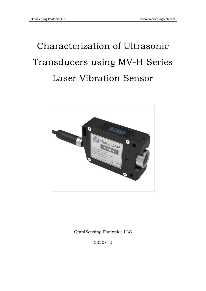# Characterization of Ultrasonic Transducers using MV-H Series Laser Vibration Sensor



OmniSensing Photonics LLC

2020/12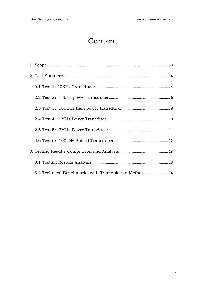# Content

| 3.2 Technical Benchmarks with Triangulation Method. |  |
|-----------------------------------------------------|--|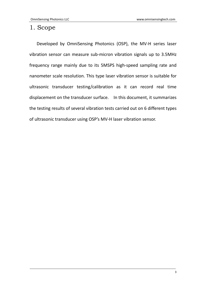# <span id="page-2-0"></span>1. Scope

Developed by OmniSensing Photonics (OSP), the MV-H series laser vibration sensor can measure sub-micron vibration signals up to 3.5MHz frequency range mainly due to its 5MSPS high-speed sampling rate and nanometer scale resolution. This type laser vibration sensor is suitable for ultrasonic transducer testing/calibration as it can record real time displacement on the transducer surface. In this document, it summarizes the testing results of several vibration tests carried out on 6 different types of ultrasonic transducer using OSP's MV-H laser vibration sensor.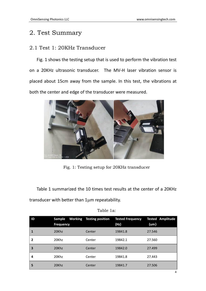# <span id="page-3-0"></span>2. Test Summary

# <span id="page-3-1"></span>2.1 Test 1: 20KHz Transducer

Fig. 1 shows the testing setup that is used to perform the vibration test on a 20KHz ultrasonic transducer. The MV-H laser vibration sensor is placed about 15cm away from the sample. In this test, the vibrations at both the center and edge of the transducer were measured.



Fig. 1: Testing setup for 20KHz transducer

Table 1 summarized the 10 times test results at the center of a 20KHz transducer with better than 1µm repeatability.

| $\overline{1}$ | <b>Sample</b><br><b>Frequency</b> | <b>Working</b> Testing position | <b>Tested Frequency</b><br>(Hz) | <b>Tested Amplitude</b><br>(um) |
|----------------|-----------------------------------|---------------------------------|---------------------------------|---------------------------------|
| 1              | 20Khz                             | Center                          | 19841.8                         | 27.546                          |
| 2              | 20Khz                             | Center                          | 19842.1                         | 27.560                          |
| 3              | 20Khz                             | Center                          | 19842.0                         | 27.499                          |
| 4              | 20Khz                             | Center                          | 19841.8                         | 27.443                          |
| 5              | 20Khz                             | Center                          | 19841.7                         | 27.506                          |

#### Table 1a: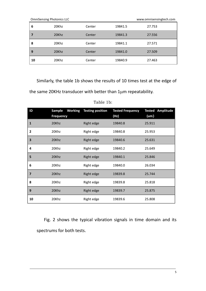|    | <b>OmniSensing Photonics LLC</b> | www.omnisensingtech.com |         |        |
|----|----------------------------------|-------------------------|---------|--------|
| 6  | 20Khz                            | Center                  | 19841.5 | 27.753 |
|    | 20Khz                            | Center                  | 19841.3 | 27.556 |
| 8  | 20Khz                            | Center                  | 19841.1 | 27.571 |
| 9  | 20Khz                            | Center                  | 19841.0 | 27.509 |
| 10 | 20Khz                            | Center                  | 19840.9 | 27.463 |

Similarly, the table 1b shows the results of 10 times test at the edge of

the same 20KHz transducer with better than 1µm repeatability.

| ID                      | <b>Sample</b><br><b>Frequency</b> | <b>Working</b> Testing position | <b>Tested Frequency</b><br>(Hz) | <b>Tested Amplitude</b><br>(u <sub>m</sub> ) |
|-------------------------|-----------------------------------|---------------------------------|---------------------------------|----------------------------------------------|
| $\mathbf{1}$            | 20Khz                             | Right edge                      | 19840.8                         | 25.911                                       |
| $\mathbf{2}$            | 20Khz                             | Right edge                      | 19840.8                         | 25.953                                       |
| 3                       | 20Khz                             | Right edge                      | 19840.6                         | 25.631                                       |
| 4                       | 20Khz                             | Right edge                      | 19840.2                         | 25.649                                       |
| 5                       | 20Khz                             | Right edge                      | 19840.1                         | 25.846                                       |
| 6                       | 20Khz                             | Right edge                      | 19840.0                         | 26.034                                       |
| $\overline{\mathbf{z}}$ | 20Khz                             | Right edge                      | 19839.8                         | 25.744                                       |
| 8                       | 20Khz                             | Right edge                      | 19839.8                         | 25.818                                       |
| 9                       | 20Khz                             | Right edge                      | 19839.7                         | 25.875                                       |
| 10                      | 20Khz                             | Right edge                      | 19839.6                         | 25.808                                       |

Table 1b:

Fig. 2 shows the typical vibration signals in time domain and its spectrums for both tests.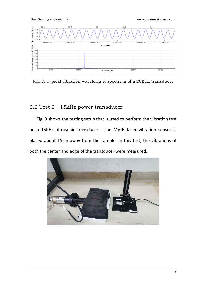OmniSensing Photonics LLC www.omnisensingtech.com



Fig. 2: Typical vibration waveform & spectrum of a 20KHz transducer

#### <span id="page-5-0"></span>2.2 Test 2:15kHz power transducer

Fig. 3 shows the testing setup that is used to perform the vibration test on a 15KHz ultrasonic transducer. The MV-H laser vibration sensor is placed about 15cm away from the sample. In this test, the vibrations at

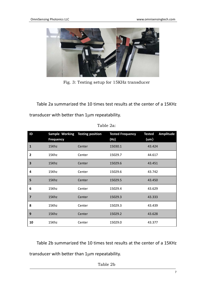

Fig. 3: Testing setup for 15KHz transducer

Table 2a summarized the 10 times test results at the center of a 15KHz transducer with better than 1µm repeatability.

| ID                      | <b>Sample Working</b><br><b>Frequency</b> | <b>Testing position</b> | <b>Tested Frequency</b><br>(Hz) | <b>Amplitude</b><br><b>Tested</b><br>$(u_m)$ |
|-------------------------|-------------------------------------------|-------------------------|---------------------------------|----------------------------------------------|
| $\mathbf{1}$            | 15Khz                                     | Center                  | 15030.1                         | 43.424                                       |
| $\mathbf{2}$            | 15Khz                                     | Center                  | 15029.7                         | 44.617                                       |
| 3                       | 15Khz                                     | Center                  | 15029.6                         | 43.451                                       |
| 4                       | 15Khz                                     | Center                  | 15029.6                         | 43.742                                       |
| 5                       | 15Khz                                     | Center                  | 15029.5                         | 43.450                                       |
| 6                       | 15Khz                                     | Center                  | 15029.4                         | 43.629                                       |
| $\overline{\mathbf{z}}$ | 15Khz                                     | Center                  | 15029.3                         | 43.333                                       |
| 8                       | 15Khz                                     | Center                  | 15029.3                         | 43.439                                       |
| 9                       | 15Khz                                     | Center                  | 15029.2                         | 43.628                                       |
| 10                      | 15Khz                                     | Center                  | 15029.0                         | 43.377                                       |

Table 2a:

Table 2b summarized the 10 times test results at the center of a 15KHz transducer with better than 1µm repeatability.

Table 2b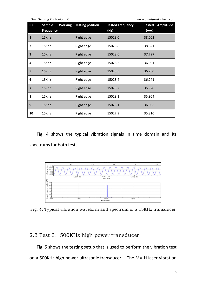|                | <b>OmniSensing Photonics LLC</b> |                |                         |                                 | www.omnisensingtech.com  |           |
|----------------|----------------------------------|----------------|-------------------------|---------------------------------|--------------------------|-----------|
| ID             | Sample<br><b>Frequency</b>       | <b>Working</b> | <b>Testing position</b> | <b>Tested Frequency</b><br>(Hz) | <b>Tested</b><br>$(u_m)$ | Amplitude |
| 1              | 15Khz                            |                | Right edge              | 15029.0                         | 38.002                   |           |
| $\mathbf{2}$   | 15Khz                            |                | Right edge              | 15028.8                         | 38.621                   |           |
| 3              | 15Khz                            |                | Right edge              | 15028.6                         | 37.797                   |           |
| 4              | 15Khz                            |                | Right edge              | 15028.6                         | 36.001                   |           |
| 5              | 15Khz                            |                | Right edge              | 15028.5                         | 36.280                   |           |
| 6              | 15Khz                            |                | Right edge              | 15028.4                         | 36.241                   |           |
| $\overline{7}$ | 15Khz                            |                | Right edge              | 15028.2                         | 35.920                   |           |
| 8              | 15Khz                            |                | Right edge              | 15028.1                         | 35.904                   |           |
| 9              | 15Khz                            |                | Right edge              | 15028.1                         | 36.006                   |           |
| 10             | 15Khz                            |                | Right edge              | 15027.9                         | 35.810                   |           |

Fig. 4 shows the typical vibration signals in time domain and its spectrums for both tests.



Fig. 4: Typical vibration waveform and spectrum of a 15KHz transducer

# <span id="page-7-0"></span>2.3 Test 3: 500KHz high power transducer

Fig. 5 shows the testing setup that is used to perform the vibration test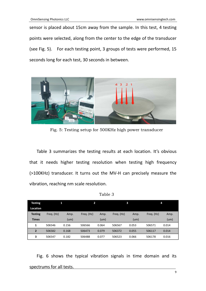sensor is placed about 15cm away from the sample. In this test, 4 testing points were selected, along from the center to the edge of the transducer (see Fig. 5). For each testing point, 3 groups of tests were performed, 15 seconds long for each test, 30 seconds in between.



Fig. 5: Testing setup for 500KHz high power transducer

Table 3 summarizes the testing results at each location. It's obvious that it needs higher testing resolution when testing high frequency (>100KHz) transducer. It turns out the MV-H can precisely measure the vibration, reaching nm scale resolution.

Table 3

| <b>Testing</b> |            |       | 2          |       |            | 3     |            | 4     |
|----------------|------------|-------|------------|-------|------------|-------|------------|-------|
| Location       |            |       |            |       |            |       |            |       |
| <b>Testing</b> | Freg. (Hz) | Amp.  | Freq. (Hz) | Amp.  | Freq. (Hz) | Amp.  | Freq. (Hz) | Amp.  |
| <b>Times</b>   |            | (num) |            | (num) |            | (num) |            | (num) |
| 1              | 506546     | 0.156 | 506566     | 0.064 | 506567     | 0.053 | 506571     | 0.014 |
| $\overline{2}$ | 506582     | 0.168 | 506473     | 0.079 | 506372     | 0.055 | 506117     | 0.014 |
| 3              | 506547     | 0.182 | 506488     | 0.077 | 506523     | 0.066 | 506178     | 0.016 |

Fig. 6 shows the typical vibration signals in time domain and its spectrums for all tests.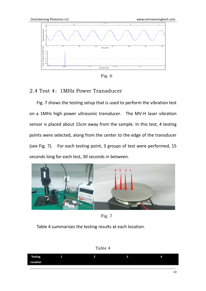

Fig. 6

#### <span id="page-9-0"></span>2.4 Test 4: 1MHz Power Transducer

Fig. 7 shows the testing setup that is used to perform the vibration test on a 1MHz high power ultrasonic transducer. The MV-H laser vibration sensor is placed about 15cm away from the sample. In this test, 4 testing points were selected, along from the center to the edge of the transducer (see Fig. 7). For each testing point, 3 groups of test were performed, 15 seconds long for each test, 30 seconds in between.



Fig. 7

Table 4 summarizes the testing results at each location.



| <b>TEM</b><br>-<br>теэинд | . . | - | ۰. | 25 |
|---------------------------|-----|---|----|----|
| cation<br>- 2             |     |   |    |    |
|                           |     |   |    |    |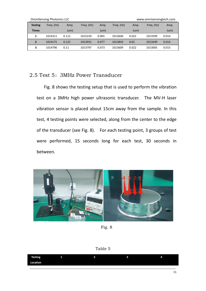|                | <b>OmniSensing Photonics LLC</b><br>www.omnisensingtech.com |       |            |       |            |       |            |       |  |  |  |
|----------------|-------------------------------------------------------------|-------|------------|-------|------------|-------|------------|-------|--|--|--|
| <b>Testing</b> | Freq. (Hz)                                                  | Amp.  | Freg. (Hz) | Amp.  | Freq. (Hz) | Amp.  | Freq. (Hz) | Amp.  |  |  |  |
| <b>Times</b>   |                                                             | (num) |            | (num) |            | (um)  |            | (num) |  |  |  |
| 1              | 1014311                                                     | 0.112 | 1015220    | 0.065 | 1013640    | 0.022 | 1013599    | 0.014 |  |  |  |
|                | 1014175                                                     | 0.122 | 1013931    | 0.077 | 1013843    | 0.02  | 1013449    | 0.014 |  |  |  |
| 3              | 1014790                                                     | 0.11  | 1013797    | 0.073 | 1013609    | 0.022 | 1013005    | 0.015 |  |  |  |

# <span id="page-10-0"></span>2.5 Test 5: 3MHz Power Transducer

Fig. 8 shows the testing setup that is used to perform the vibration test on a 3MHz high power ultrasonic transducer. The MV-H laser vibration sensor is placed about 15cm away from the sample. In this test, 4 testing points were selected, along from the center to the edge of the transducer (see Fig. 8). For each testing point, 3 groups of test were performed, 15 seconds long for each test, 30 seconds in between.



Fig. 8



| <b>Testing</b> | . . | ۰. | 74. |
|----------------|-----|----|-----|
| Location       |     |    |     |
|                |     |    |     |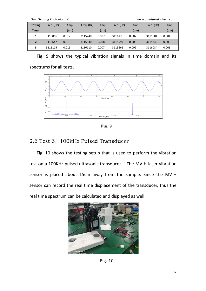|                | <b>OmniSensing Photonics LLC</b><br>www.omnisensingtech.com |       |            |       |            |       |            |                   |  |  |  |  |
|----------------|-------------------------------------------------------------|-------|------------|-------|------------|-------|------------|-------------------|--|--|--|--|
| <b>Testing</b> | Freq. (Hz)                                                  | Amp.  | Freg. (Hz) | Amp.  | Freg. (Hz) | Amp.  | Freq. (Hz) | Amp.              |  |  |  |  |
| <b>Times</b>   |                                                             | (num) |            | (num) |            | (um)  |            | (u <sub>m</sub> ) |  |  |  |  |
| 1              | 3115866                                                     | 0.017 | 3115740    | 0.007 | 3116178    | 0.007 | 3115684    | 0.004             |  |  |  |  |
| $\mathbf{2}$   | 3115647                                                     | 0.013 | 3115930    | 0.008 | 3115597    | 0.008 | 3115745    | 0.009             |  |  |  |  |
| 3              | 3115115                                                     | 0.019 | 3116110    | 0.007 | 3115666    | 0.009 | 3116084    | 0.005             |  |  |  |  |

Fig. 9 shows the typical vibration signals in time domain and its spectrums for all tests.



Fig. 9

# <span id="page-11-0"></span>2.6 Test 6: 100kHz Pulsed Transducer

Fig. 10 shows the testing setup that is used to perform the vibration test on a 100KHz pulsed ultrasonic transducer. The MV-H laser vibration sensor is placed about 15cm away from the sample. Since the MV-H sensor can record the real time displacement of the transducer, thus the real time spectrum can be calculated and displayed as well.



Fig. 10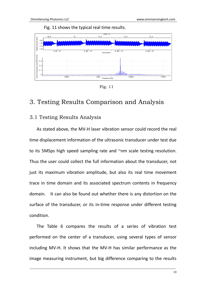Fig. 11 shows the typical real time results.



Fig. 11

# <span id="page-12-0"></span>3. Testing Results Comparison and Analysis

# <span id="page-12-1"></span>3.1 Testing Results Analysis

As stated above, the MV-H laser vibration sensor could record the real time displacement information of the ultrasonic transducer under test due to its 5MSps high speed sampling rate and ~nm scale testing resolution. Thus the user could collect the full information about the transducer, not just its maximum vibration amplitude, but also its real time movement trace in time domain and its associated spectrum contents in frequency domain. It can also be found out whether there is any distortion on the surface of the transducer, or its in-time response under different testing condition. **Example 12 The results Comparison and Analysis**<br> **Example 12 The results Comparison and Analysis**<br> **Example 12 The results Analysis**<br>
3. I Testing Results Analysis<br>
4. As stated above, the MV-H laser vibration sensor coul

The Table 6 compares the results of a series of vibration test performed on the center of a transducer, using several types of sensor including MV-H. It shows that the MV-H has similar performance as the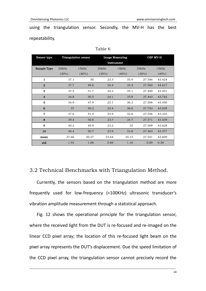using the triangulation sensor. Secondly, the MV-H has the best repeatability.

| Sensor type      |          | <b>Triangulation sensor</b> | <b>Image Measuring</b> |            | OSP MV-H |          |
|------------------|----------|-----------------------------|------------------------|------------|----------|----------|
|                  |          |                             |                        | Instrument |          |          |
| Sample Type      | 20kHz    | 15kHz                       | 20kHz                  | 15kHz      | 20kHz    | 15kHz    |
|                  | $(30\%)$ | $(40\%)$                    | $(30\%)$               | $(40\%)$   | $(30\%)$ | $(40\%)$ |
| 1                | 37.1     | 50                          | 23.5                   | 35.9       | 27.546   | 43.424   |
| $\bf 2$          | 37.7     | 49.6                        | 24.4                   | 35.4       | 27.560   | 44.617   |
| 3                | 37.5     | 51.7                        | 24.2                   | 35.1       | 27.499   | 43.451   |
| $\boldsymbol{4}$ | 34.8     | 50.5                        | 24.1                   | 35.9       | 27.443   | 43.742   |
| 5                | 34.9     | 47.9                        | 22.1                   | 36.3       | 27.506   | 43.450   |
| 6                | 37       | 50.2                        | 23.4                   | 36.6       | 27.753   | 43.629   |
| $\mathbf{7}$     | 37.6     | 51.4                        | 23.9                   | 32.8       | 27.556   | 43.333   |
| 8                | 39.4     | 50.8                        | 23.7                   | 34.7       | 27.571   | 43.439   |
| 9                | 40.2     | 49.9                        | 23.2                   | 35         | 27.509   | 43.628   |
| 10               | 40.4     | 50.7                        | 23.9                   | 33.8       | 27.463   | 43.377   |
| mean             | 37.66    | 50.27                       | 23.64                  | 35.15      | 27.541   | 43.609   |
| std              | 1.93     | 1.06                        | 0.66                   | 1.16       | 0.09     | 0.38     |

Table 6

### <span id="page-13-0"></span>3.2 Technical Benchmarks with Triangulation Method.

Currently, the sensors based on the triangulation method are more frequently used for low-frequency (<100KHz) ultrasonic transducer's vibration amplitude measurement through a statistical approach.

Fig. 12 shows the operational principle for the triangulation sensor, where the received light from the DUT is re-focused and re-imaged on the linear CCD pixel array; the location of this re-focused light beam on the pixel array represents the DUT's displacement. Due the speed limitation of the CCD pixel array, the triangulation sensor cannot precisely record the